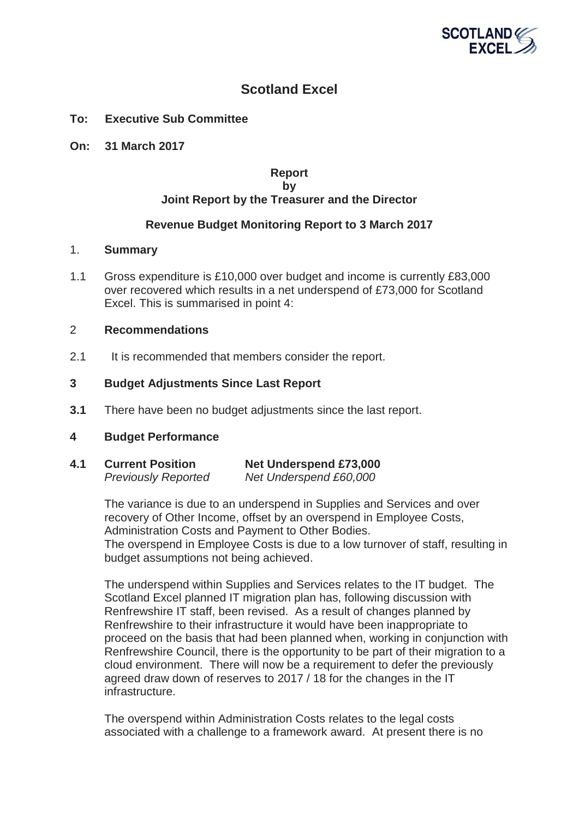

# **Scotland Excel**

## **To: Executive Sub Committee**

**On: 31 March 2017** 

#### **Report by Joint Report by the Treasurer and the Director**

## **Revenue Budget Monitoring Report to 3 March 2017**

## 1. **Summary**

1.1 Gross expenditure is £10,000 over budget and income is currently £83,000 over recovered which results in a net underspend of £73,000 for Scotland Excel. This is summarised in point 4:

#### 2 **Recommendations**

2.1 It is recommended that members consider the report.

#### **3 Budget Adjustments Since Last Report**

**3.1** There have been no budget adjustments since the last report.

#### **4 Budget Performance**

**4.1 Current Position Net Underspend £73,000** *Previously Reported Net Underspend £60,000* 

> The variance is due to an underspend in Supplies and Services and over recovery of Other Income, offset by an overspend in Employee Costs, Administration Costs and Payment to Other Bodies.

The overspend in Employee Costs is due to a low turnover of staff, resulting in budget assumptions not being achieved.

The underspend within Supplies and Services relates to the IT budget. The Scotland Excel planned IT migration plan has, following discussion with Renfrewshire IT staff, been revised. As a result of changes planned by Renfrewshire to their infrastructure it would have been inappropriate to proceed on the basis that had been planned when, working in conjunction with Renfrewshire Council, there is the opportunity to be part of their migration to a cloud environment. There will now be a requirement to defer the previously agreed draw down of reserves to 2017 / 18 for the changes in the IT infrastructure.

The overspend within Administration Costs relates to the legal costs associated with a challenge to a framework award. At present there is no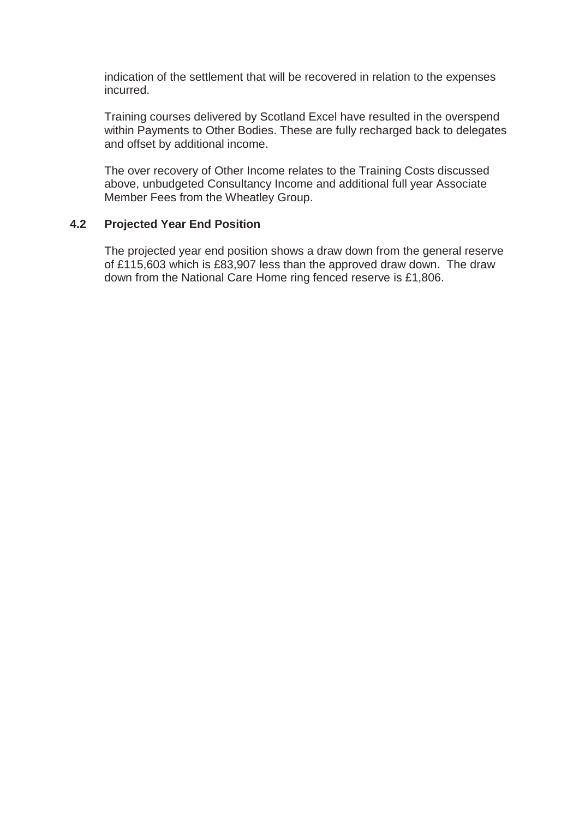indication of the settlement that will be recovered in relation to the expenses incurred.

Training courses delivered by Scotland Excel have resulted in the overspend within Payments to Other Bodies. These are fully recharged back to delegates and offset by additional income.

The over recovery of Other Income relates to the Training Costs discussed above, unbudgeted Consultancy Income and additional full year Associate Member Fees from the Wheatley Group.

## **4.2 Projected Year End Position**

The projected year end position shows a draw down from the general reserve of £115,603 which is £83,907 less than the approved draw down. The draw down from the National Care Home ring fenced reserve is £1,806.